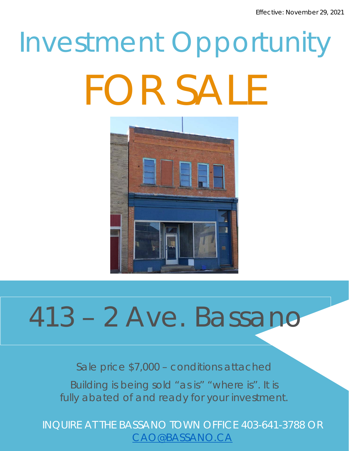# Investment Opportunity FOR SALE



# 413 – 2 Ave. Bassano

Sale price \$7,000 – conditions attached

Building is being sold "as is" "where is". It is fully abated of and ready for your investment.

INQUIRE AT THE BASSANO TOWN OFFICE 403-641-3788 OR [CAO@BASSANO.CA](mailto:CAO@BASSANO.CA)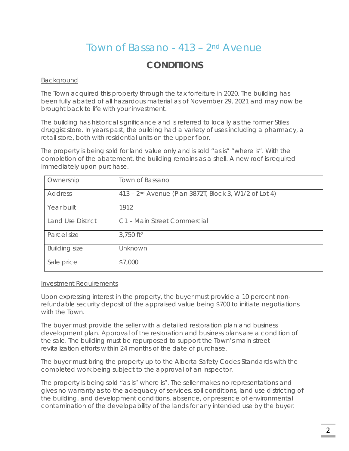# *Town of Bassano - 413 – 2nd Avenue*

## **CONDITIONS**

### Background

The Town acquired this property through the tax forfeiture in 2020. The building has been fully abated of all hazardous material as of November 29, 2021 and may now be brought back to life with your investment.

The building has historical significance and is referred to locally as the former Stiles druggist store. In years past, the building had a variety of uses including a pharmacy, a retail store, both with residential units on the upper floor.

The property is being sold for land value only and is sold "as is" "where is". With the completion of the abatement, the building remains as a shell. A new roof is required immediately upon purchase.

| Ownership            | Town of Bassano                                                   |
|----------------------|-------------------------------------------------------------------|
| <b>Address</b>       | 413 - 2 <sup>nd</sup> Avenue (Plan 3872T, Block 3, W1/2 of Lot 4) |
| Year built           | 1912                                                              |
| Land Use District    | C1 - Main Street Commercial                                       |
| Parcel size          | $3,750$ ft <sup>2</sup>                                           |
| <b>Building size</b> | Unknown                                                           |
| Sale price           | \$7,000                                                           |

#### Investment Requirements

Upon expressing interest in the property, the buyer must provide a 10 percent nonrefundable security deposit of the appraised value being \$700 to initiate negotiations with the Town.

The buyer must provide the seller with a detailed restoration plan and business development plan. Approval of the restoration and business plans are a condition of the sale. The building must be repurposed to support the Town's main street revitalization efforts within 24 months of the date of purchase.

The buyer must bring the property up to the Alberta Safety Codes Standards with the completed work being subject to the approval of an inspector.

The property is being sold "as is" where is". The seller makes no representations and gives no warranty as to the adequacy of services, soil conditions, land use districting of the building, and development conditions, absence, or presence of environmental contamination of the developability of the lands for any intended use by the buyer.